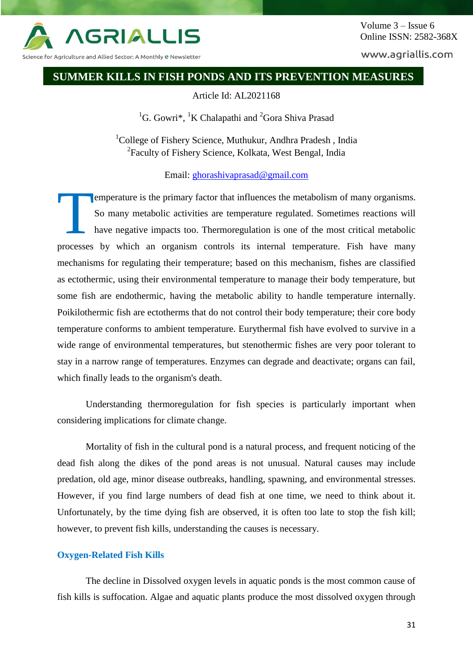

Volume 3 – Issue 6 Online ISSN: 2582-368X

www.agriallis.com

# **SUMMER KILLS IN FISH PONDS AND ITS PREVENTION MEASURES**

## Article Id: AL2021168

<sup>1</sup>G. Gowri\*, <sup>1</sup>K Chalapathi and <sup>2</sup>Gora Shiva Prasad

<sup>1</sup>College of Fishery Science, Muthukur, Andhra Pradesh, India <sup>2</sup> Faculty of Fishery Science, Kolkata, West Bengal, India

Email: [ghorashivaprasad@gmail.com](mailto:ghorashivaprasad@gmail.com)

emperature is the primary factor that influences the metabolism of many organisms. So many metabolic activities are temperature regulated. Sometimes reactions will have negative impacts too. Thermoregulation is one of the most critical metabolic processes by which an organism controls its internal temperature. Fish have many mechanisms for regulating their temperature; based on this mechanism, fishes are classified as ectothermic, using their environmental temperature to manage their body temperature, but some fish are endothermic, having the metabolic ability to handle temperature internally. Poikilothermic fish are ectotherms that do not control their body temperature; their core body temperature conforms to ambient temperature. Eurythermal fish have evolved to survive in a wide range of environmental temperatures, but stenothermic fishes are very poor tolerant to stay in a narrow range of temperatures. Enzymes can degrade and deactivate; organs can fail, which finally leads to the organism's death. T

Understanding thermoregulation for fish species is particularly important when considering implications for climate change.

Mortality of fish in the cultural pond is a natural process, and frequent noticing of the dead fish along the dikes of the pond areas is not unusual. Natural causes may include predation, old age, minor disease outbreaks, handling, spawning, and environmental stresses. However, if you find large numbers of dead fish at one time, we need to think about it. Unfortunately, by the time dying fish are observed, it is often too late to stop the fish kill; however, to prevent fish kills, understanding the causes is necessary.

# **Oxygen-Related Fish Kills**

The decline in Dissolved oxygen levels in aquatic ponds is the most common cause of fish kills is suffocation. Algae and aquatic plants produce the most dissolved oxygen through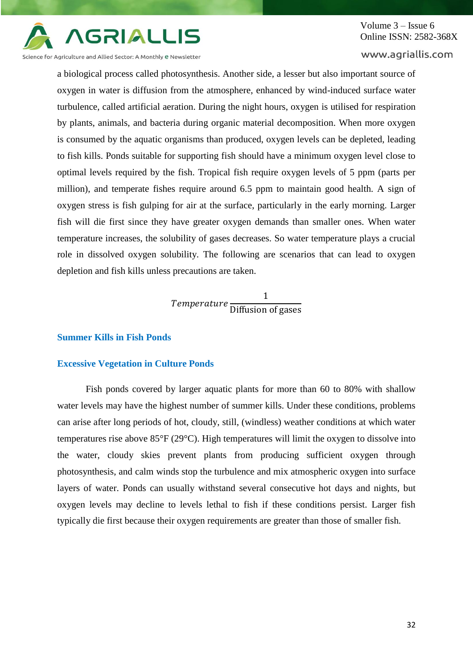

Volume 3 – Issue 6 Online ISSN: 2582-368X

www.agriallis.com

Science for Agriculture and Allied Sector: A Monthly e Newsletter

a biological process called photosynthesis. Another side, a lesser but also important source of oxygen in water is diffusion from the atmosphere, enhanced by wind-induced surface water turbulence, called artificial aeration. During the night hours, oxygen is utilised for respiration by plants, animals, and bacteria during organic material decomposition. When more oxygen is consumed by the aquatic organisms than produced, oxygen levels can be depleted, leading to fish kills. Ponds suitable for supporting fish should have a minimum oxygen level close to optimal levels required by the fish. Tropical fish require oxygen levels of 5 ppm (parts per million), and temperate fishes require around 6.5 ppm to maintain good health. A sign of oxygen stress is fish gulping for air at the surface, particularly in the early morning. Larger fish will die first since they have greater oxygen demands than smaller ones. When water temperature increases, the solubility of gases decreases. So water temperature plays a crucial role in dissolved oxygen solubility. The following are scenarios that can lead to oxygen depletion and fish kills unless precautions are taken.

> Temperature 1 Diffusion of gases

### **Summer Kills in Fish Ponds**

## **Excessive Vegetation in Culture Ponds**

Fish ponds covered by larger aquatic plants for more than 60 to 80% with shallow water levels may have the highest number of summer kills. Under these conditions, problems can arise after long periods of hot, cloudy, still, (windless) weather conditions at which water temperatures rise above 85°F (29°C). High temperatures will limit the oxygen to dissolve into the water, cloudy skies prevent plants from producing sufficient oxygen through photosynthesis, and calm winds stop the turbulence and mix atmospheric oxygen into surface layers of water. Ponds can usually withstand several consecutive hot days and nights, but oxygen levels may decline to levels lethal to fish if these conditions persist. Larger fish typically die first because their oxygen requirements are greater than those of smaller fish.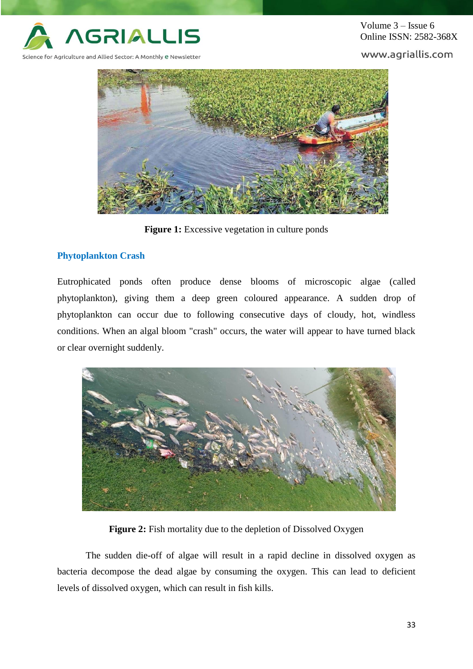

Volume 3 – Issue 6 Online ISSN: 2582-368X

www.agriallis.com



**Figure 1:** Excessive vegetation in culture ponds

# **Phytoplankton Crash**

Eutrophicated ponds often produce dense blooms of microscopic algae (called phytoplankton), giving them a deep green coloured appearance. A sudden drop of phytoplankton can occur due to following consecutive days of cloudy, hot, windless conditions. When an algal bloom "crash" occurs, the water will appear to have turned black or clear overnight suddenly.



**Figure 2:** Fish mortality due to the depletion of Dissolved Oxygen

The sudden die-off of algae will result in a rapid decline in dissolved oxygen as bacteria decompose the dead algae by consuming the oxygen. This can lead to deficient levels of dissolved oxygen, which can result in fish kills.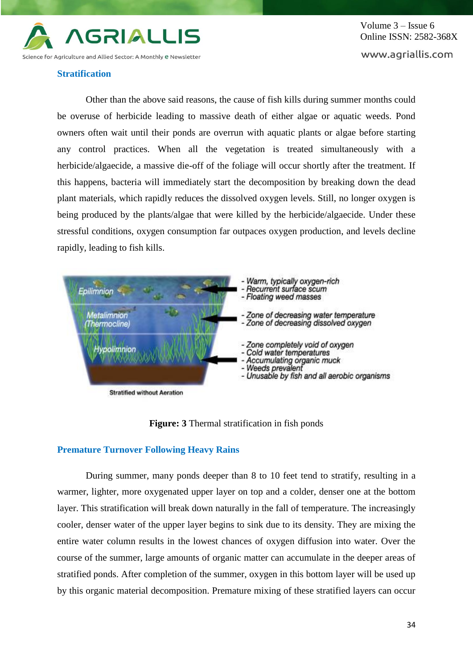

#### **Stratification**

Other than the above said reasons, the cause of fish kills during summer months could be overuse of herbicide leading to massive death of either algae or aquatic weeds. Pond owners often wait until their ponds are overrun with aquatic plants or algae before starting any control practices. When all the vegetation is treated simultaneously with a herbicide/algaecide, a massive die-off of the foliage will occur shortly after the treatment. If this happens, bacteria will immediately start the decomposition by breaking down the dead plant materials, which rapidly reduces the dissolved oxygen levels. Still, no longer oxygen is being produced by the plants/algae that were killed by the herbicide/algaecide. Under these stressful conditions, oxygen consumption far outpaces oxygen production, and levels decline rapidly, leading to fish kills.



**Figure: 3** Thermal stratification in fish ponds

# **Premature Turnover Following Heavy Rains**

During summer, many ponds deeper than 8 to 10 feet tend to stratify, resulting in a warmer, lighter, more oxygenated upper layer on top and a colder, denser one at the bottom layer. This stratification will break down naturally in the fall of temperature. The increasingly cooler, denser water of the upper layer begins to sink due to its density. They are mixing the entire water column results in the lowest chances of oxygen diffusion into water. Over the course of the summer, large amounts of organic matter can accumulate in the deeper areas of stratified ponds. After completion of the summer, oxygen in this bottom layer will be used up by this organic material decomposition. Premature mixing of these stratified layers can occur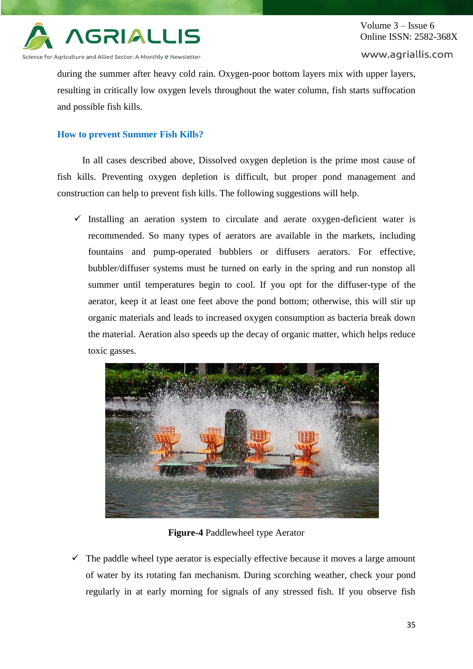

Science for Agriculture and Allied Sector: A Monthly e Newsletter

### www.agriallis.com

during the summer after heavy cold rain. Oxygen-poor bottom layers mix with upper layers, resulting in critically low oxygen levels throughout the water column, fish starts suffocation and possible fish kills.

# **How to prevent Summer Fish Kills?**

In all cases described above, Dissolved oxygen depletion is the prime most cause of fish kills. Preventing oxygen depletion is difficult, but proper pond management and construction can help to prevent fish kills. The following suggestions will help.

 $\checkmark$  Installing an aeration system to circulate and aerate oxygen-deficient water is recommended. So many types of aerators are available in the markets, including fountains and pump-operated bubblers or diffusers aerators. For effective, bubbler/diffuser systems must be turned on early in the spring and run nonstop all summer until temperatures begin to cool. If you opt for the diffuser-type of the aerator, keep it at least one feet above the pond bottom; otherwise, this will stir up organic materials and leads to increased oxygen consumption as bacteria break down the material. Aeration also speeds up the decay of organic matter, which helps reduce toxic gasses.



**Figure-4** Paddlewheel type Aerator

 $\checkmark$  The paddle wheel type aerator is especially effective because it moves a large amount of water by its rotating fan mechanism. During scorching weather, check your pond regularly in at early morning for signals of any stressed fish. If you observe fish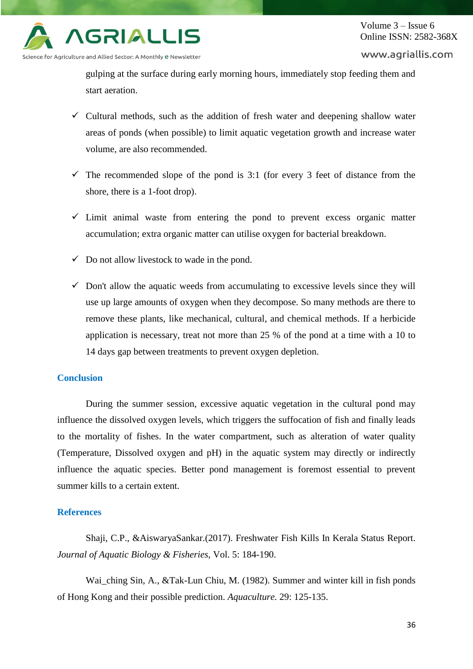

www.agriallis.com

gulping at the surface during early morning hours, immediately stop feeding them and start aeration.

- $\checkmark$  Cultural methods, such as the addition of fresh water and deepening shallow water areas of ponds (when possible) to limit aquatic vegetation growth and increase water volume, are also recommended.
- $\checkmark$  The recommended slope of the pond is 3:1 (for every 3 feet of distance from the shore, there is a 1-foot drop).
- $\checkmark$  Limit animal waste from entering the pond to prevent excess organic matter accumulation; extra organic matter can utilise oxygen for bacterial breakdown.
- $\checkmark$  Do not allow livestock to wade in the pond.
- $\checkmark$  Don't allow the aquatic weeds from accumulating to excessive levels since they will use up large amounts of oxygen when they decompose. So many methods are there to remove these plants, like mechanical, cultural, and chemical methods. If a herbicide application is necessary, treat not more than 25 % of the pond at a time with a 10 to 14 days gap between treatments to prevent oxygen depletion.

# **Conclusion**

During the summer session, excessive aquatic vegetation in the cultural pond may influence the dissolved oxygen levels, which triggers the suffocation of fish and finally leads to the mortality of fishes. In the water compartment, such as alteration of water quality (Temperature, Dissolved oxygen and pH) in the aquatic system may directly or indirectly influence the aquatic species. Better pond management is foremost essential to prevent summer kills to a certain extent.

# **References**

Shaji, C.P., &AiswaryaSankar.(2017). Freshwater Fish Kills In Kerala Status Report. *Journal of Aquatic Biology & Fisheries*, Vol. 5: 184-190.

Wai, ching Sin, A., &Tak-Lun Chiu, M. (1982). Summer and winter kill in fish ponds of Hong Kong and their possible prediction. *Aquaculture.* 29: 125-135.